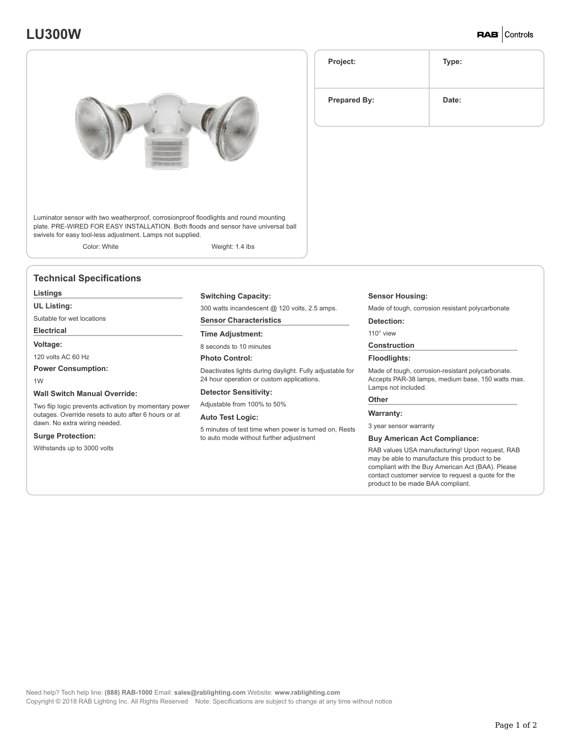# **LU300W**

**RAB** Controls



Luminator sensor with two weatherproof, corrosionproof floodlights and round mounting plate. PRE-WIRED FOR EASY INSTALLATION. Both floods and sensor have universal ball swivels for easy tool-less adjustment. Lamps not supplied.

Color: White Weight: 1.4 lbs

### **Technical Specifications**

### **Listings**

**UL Listing:**

Suitable for wet locations

#### **Electrical**

**Voltage:**

120 volts AC 60 Hz

**Power Consumption:**

1W

#### **Wall Switch Manual Override:**

Two flip logic prevents activation by momentary power outages. Override resets to auto after 6 hours or at dawn. No extra wiring needed.

#### **Surge Protection:**

Withstands up to 3000 volts

#### **Switching Capacity:**

300 watts incandescent @ 120 volts, 2.5 amps.

## **Sensor Characteristics**

**Time Adjustment:**

8 seconds to 10 minutes

#### **Photo Control:**

Deactivates lights during daylight. Fully adjustable for 24 hour operation or custom applications.

#### **Detector Sensitivity:**

Adjustable from 100% to 50%

#### **Auto Test Logic:**

5 minutes of test time when power is turned on, Rests to auto mode without further adjustment

**Sensor Housing:**

Made of tough, corrosion resistant polycarbonate

#### **Detection:**

110° view

#### **Construction**

#### **Floodlights:**

Made of tough, corrosion-resistant polycarbonate. Accepts PAR-38 lamps, medium base, 150 watts max. Lamps not included.

# **Other Warranty:**

3 year sensor warranty

#### **Buy American Act Compliance:**

RAB values USA manufacturing! Upon request, RAB may be able to manufacture this product to be compliant with the Buy American Act (BAA). Please contact customer service to request a quote for the product to be made BAA compliant.

Need help? Tech help line: **(888) RAB-1000** Email: **sales@rablighting.com** Website: **www.rablighting.com** Copyright © 2018 RAB Lighting Inc. All Rights Reserved Note: Specifications are subject to change at any time without notice

| Project:            | Type: |
|---------------------|-------|
| <b>Prepared By:</b> | Date: |